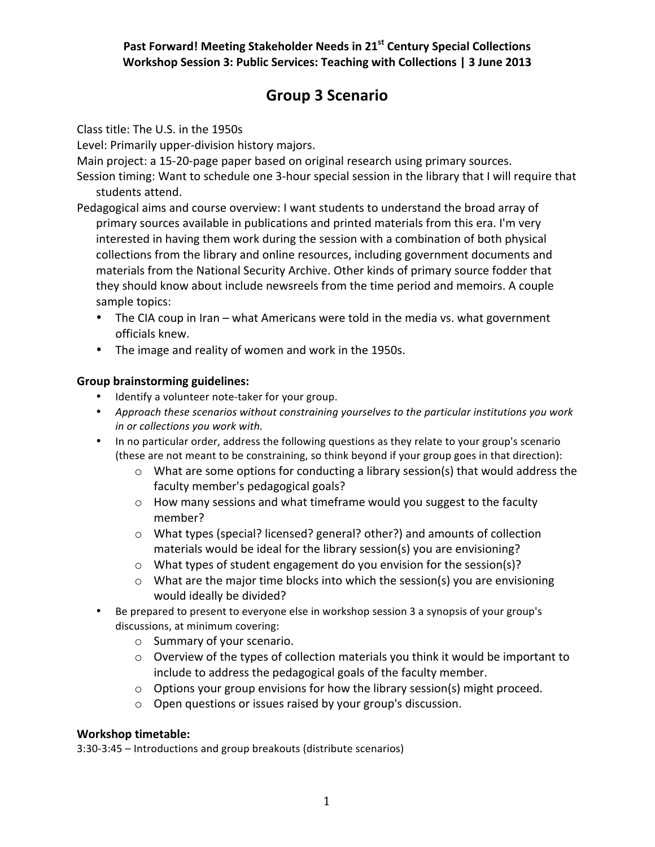### Past Forward! Meeting Stakeholder Needs in 21<sup>st</sup> Century Special Collections **Workshop Session 3: Public Services: Teaching with Collections | 3 June 2013**

# **Group%3 Scenario**

#### Class title: The U.S. in the 1950s

Level: Primarily upper-division history majors.

Main project: a 15-20-page paper based on original research using primary sources.

Session timing: Want to schedule one 3-hour special session in the library that I will require that students attend.

- Pedagogical aims and course overview: I want students to understand the broad array of primary sources available in publications and printed materials from this era. I'm very interested in having them work during the session with a combination of both physical collections from the library and online resources, including government documents and materials from the National Security Archive. Other kinds of primary source fodder that they should know about include newsreels from the time period and memoirs. A couple sample topics:
	- The CIA coup in Iran what Americans were told in the media vs. what government officials knew.
	- The image and reality of women and work in the 1950s.

#### **Group brainstorming guidelines:**

- Identify a volunteer note-taker for your group.
- Approach these scenarios without constraining yourselves to the particular institutions you work *in or collections you work with.*
- In no particular order, address the following questions as they relate to your group's scenario (these are not meant to be constraining, so think beyond if your group goes in that direction):
	- $\circ$  What are some options for conducting a library session(s) that would address the faculty member's pedagogical goals?
	- $\circ$  How many sessions and what timeframe would you suggest to the faculty member?
	- $\circ$  What types (special? licensed? general? other?) and amounts of collection materials would be ideal for the library session(s) you are envisioning?
	- $\circ$  What types of student engagement do you envision for the session(s)?
	- $\circ$  What are the major time blocks into which the session(s) you are envisioning would ideally be divided?
- Be prepared to present to everyone else in workshop session 3 a synopsis of your group's discussions, at minimum covering:
	- $\circ$  Summary of your scenario.
	- $\circ$  Overview of the types of collection materials you think it would be important to include to address the pedagogical goals of the faculty member.
	- $\circ$  Options your group envisions for how the library session(s) might proceed.
	- $\circ$  Open questions or issues raised by your group's discussion.

#### **Workshop timetable:**

3:30-3:45 – Introductions and group breakouts (distribute scenarios)